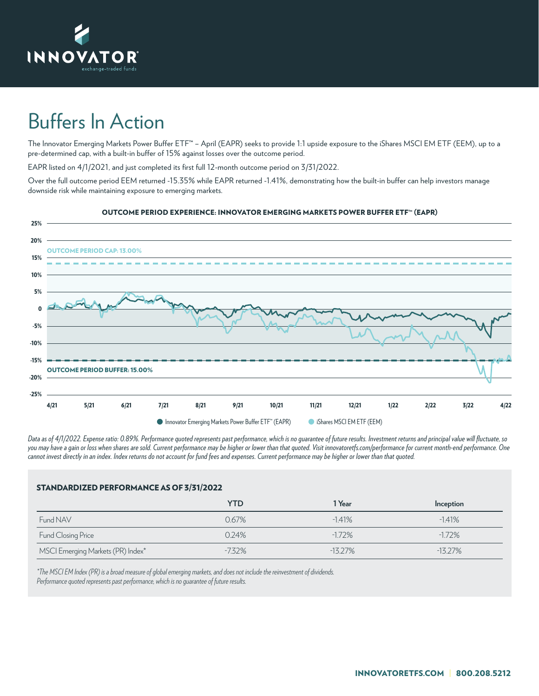

## Buffers In Action

The Innovator Emerging Markets Power Buffer ETF**™** – April (EAPR) seeks to provide 1:1 upside exposure to the iShares MSCI EM ETF (EEM), up to a pre-determined cap, with a built-in buffer of 15% against losses over the outcome period.

EAPR listed on 4/1/2021, and just completed its first full 12-month outcome period on 3/31/2022.

Over the full outcome period EEM returned -15.35% while EAPR returned -1.41%, demonstrating how the built-in buffer can help investors manage downside risk while maintaining exposure to emerging markets.



## OUTCOME PERIOD EXPERIENCE: INNOVATOR EMERGING MARKETS POWER BUFFER ETF™ (EAPR)

*Data as of 4/1/2022. Expense ratio: 0.89%. Performance quoted represents past performance, which is no guarantee of future results. Investment returns and principal value will fluctuate, so you may have a gain or loss when shares are sold. Current performance may be higher or lower than that quoted. Visit innovatoretfs.com/performance for current month-end performance. One cannot invest directly in an index. Index returns do not account for fund fees and expenses. Current performance may be higher or lower than that quoted.*

## STANDARDIZED PERFORMANCE AS OF 3/31/2022

|                                   | <b>YTD</b> | 1 Year    | Inception |
|-----------------------------------|------------|-----------|-----------|
| Fund NAV                          | 0.67%      | $-1.41%$  | $-1.41%$  |
| Fund Closing Price                | 0.24%      | $-172%$   | $-1.72\%$ |
| MSCI Emerging Markets (PR) Index* | -7.32%     | $-13.27%$ | $-1327%$  |

*\*The MSCI EM Index (PR) is a broad measure of global emerging markets, and does not include the reinvestment of dividends. Performance quoted represents past performance, which is no guarantee of future results.*